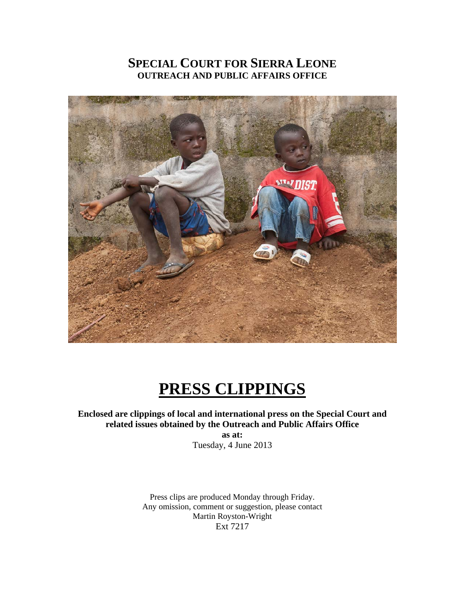### **SPECIAL COURT FOR SIERRA LEONE OUTREACH AND PUBLIC AFFAIRS OFFICE**



# **PRESS CLIPPINGS**

#### **Enclosed are clippings of local and international press on the Special Court and related issues obtained by the Outreach and Public Affairs Office as at:**

Tuesday, 4 June 2013

Press clips are produced Monday through Friday. Any omission, comment or suggestion, please contact Martin Royston-Wright Ext 7217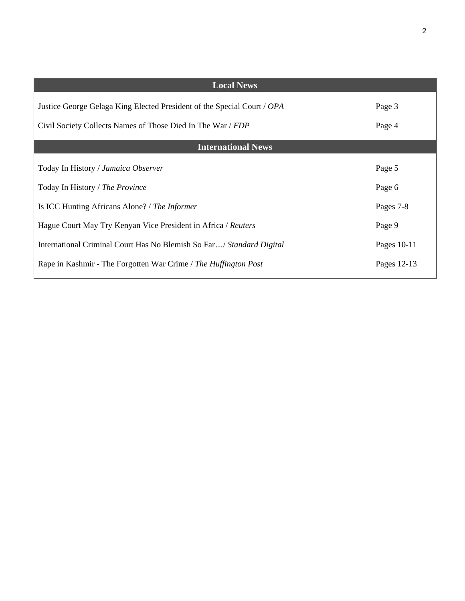| <b>Local News</b>                                                       |             |  |  |
|-------------------------------------------------------------------------|-------------|--|--|
| Justice George Gelaga King Elected President of the Special Court / OPA | Page 3      |  |  |
| Civil Society Collects Names of Those Died In The War / FDP             | Page 4      |  |  |
| <b>International News</b>                                               |             |  |  |
| Today In History / Jamaica Observer                                     | Page 5      |  |  |
| Today In History / The Province                                         | Page 6      |  |  |
| Is ICC Hunting Africans Alone? / The Informer                           | Pages 7-8   |  |  |
| Hague Court May Try Kenyan Vice President in Africa / Reuters           | Page 9      |  |  |
| International Criminal Court Has No Blemish So Far/ Standard Digital    | Pages 10-11 |  |  |
| Rape in Kashmir - The Forgotten War Crime / The Huffington Post         | Pages 12-13 |  |  |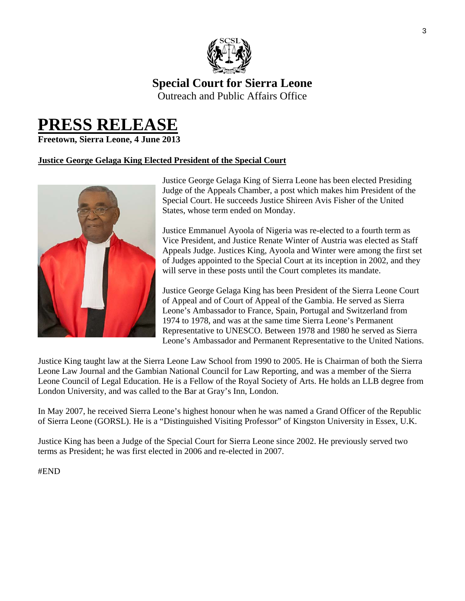

# **Special Court for Sierra Leone**

Outreach and Public Affairs Office

# **PRESS RELEASE Freetown, Sierra Leone, 4 June 2013**

#### **Justice George Gelaga King Elected President of the Special Court**



Justice George Gelaga King of Sierra Leone has been elected Presiding Judge of the Appeals Chamber, a post which makes him President of the Special Court. He succeeds Justice Shireen Avis Fisher of the United States, whose term ended on Monday.

Justice Emmanuel Ayoola of Nigeria was re-elected to a fourth term as Vice President, and Justice Renate Winter of Austria was elected as Staff Appeals Judge. Justices King, Ayoola and Winter were among the first set of Judges appointed to the Special Court at its inception in 2002, and they will serve in these posts until the Court completes its mandate.

Justice George Gelaga King has been President of the Sierra Leone Court of Appeal and of Court of Appeal of the Gambia. He served as Sierra Leone's Ambassador to France, Spain, Portugal and Switzerland from 1974 to 1978, and was at the same time Sierra Leone's Permanent Representative to UNESCO. Between 1978 and 1980 he served as Sierra Leone's Ambassador and Permanent Representative to the United Nations.

Justice King taught law at the Sierra Leone Law School from 1990 to 2005. He is Chairman of both the Sierra Leone Law Journal and the Gambian National Council for Law Reporting, and was a member of the Sierra Leone Council of Legal Education. He is a Fellow of the Royal Society of Arts. He holds an LLB degree from London University, and was called to the Bar at Gray's Inn, London.

In May 2007, he received Sierra Leone's highest honour when he was named a Grand Officer of the Republic of Sierra Leone (GORSL). He is a "Distinguished Visiting Professor" of Kingston University in Essex, U.K.

Justice King has been a Judge of the Special Court for Sierra Leone since 2002. He previously served two terms as President; he was first elected in 2006 and re-elected in 2007.

#### #END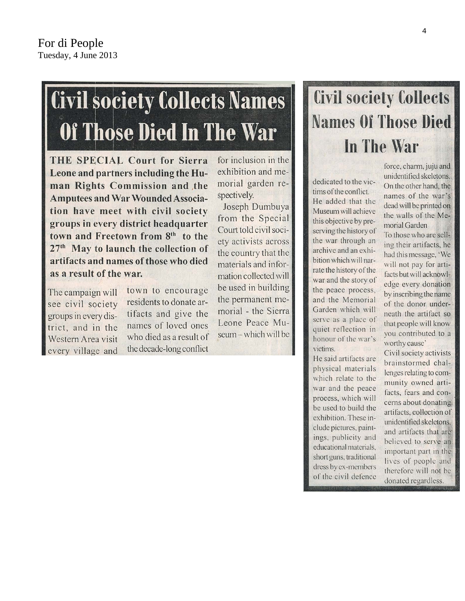# **Civil society Collects Names Of Those Died In The War**

THE SPECIAL Court for Sierra Leone and partners including the Human Rights Commission and the **Amputees and War Wounded Associa**tion have meet with civil society groups in every district headquarter town and Freetown from 8<sup>th</sup> to the 27<sup>th</sup> May to launch the collection of artifacts and names of those who died as a result of the war.

The campaign will see civil society groups in every district, and in the Western Area visit every village and town to encourage residents to donate artifacts and give the names of loved ones who died as a result of the decade-long conflict for inclusion in the exhibition and memorial garden respectively.

Joseph Dumbuya from the Special Court told civil society activists across the country that the materials and information collected will be used in building the permanent memorial - the Sierra Leone Peace Museum - which will be

# **Civil society Collects Names Of Those Died** In The War

dedicated to the victims of the conflict. He added that the Museum will achieve this objective by preserving the history of the war through an archive and an exhibition which will narrate the history of the war and the story of the peace process, and the Memorial Garden which will serve as a place of quiet reflection in honour of the war's victims.

He said artifacts are physical materials which relate to the war and the peace process, which will be used to build the exhibition. These include pictures, paintings, publicity and educational materials, short guns, traditional dress by ex-members of the civil defence

force, charm, juju and unidentified skeletons. On the other hand, the names of the war's dead will be printed on the walls of the Memorial Garden

To those who are selling their artifacts, he had this message, 'We will not pay for artifacts but will acknowledge every donation by inscribing the name of the donor underneath the artifact so that people will know you contributed to a worthy cause'

Civil society activists brainstormed challenges relating to community owned artifacts, fears and concerns about donating artifacts, collection of unidentified skeletons, and artifacts that are believed to serve an important part in the lives of people and therefore will not be donated regardless.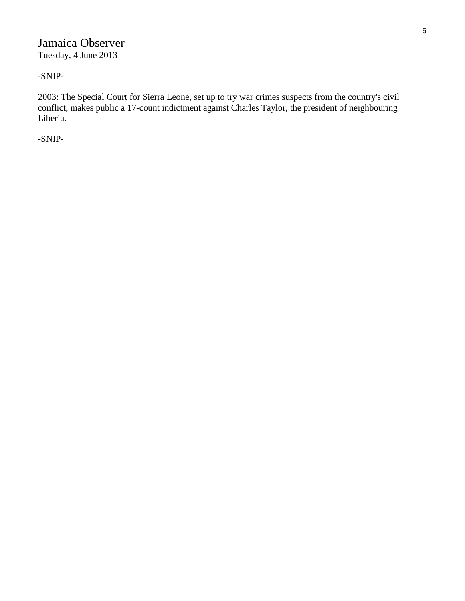#### Jamaica Observer Tuesday, 4 June 2013

#### -SNIP-

2003: The Special Court for Sierra Leone, set up to try war crimes suspects from the country's civil conflict, makes public a 17-count indictment against Charles Taylor, the president of neighbouring Liberia.

-SNIP-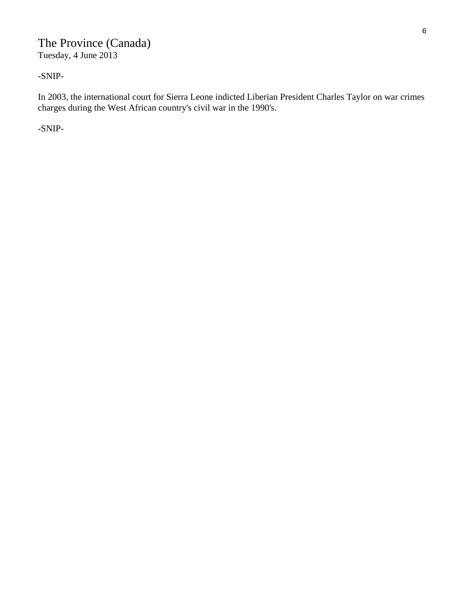#### The Province (Canada) Tuesday, 4 June 2013

-SNIP-

In 2003, the international court for Sierra Leone indicted Liberian President Charles Taylor on war crimes charges during the West African country's civil war in the 1990's.

-SNIP-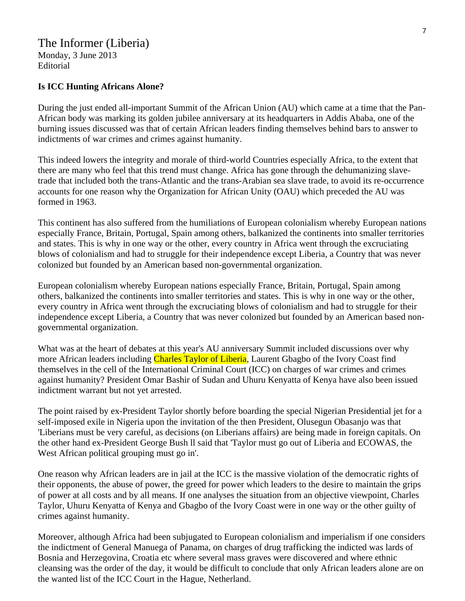#### The Informer (Liberia)

Monday, 3 June 2013 Editorial

#### **Is ICC Hunting Africans Alone?**

During the just ended all-important Summit of the African Union (AU) which came at a time that the Pan-African body was marking its golden jubilee anniversary at its headquarters in Addis Ababa, one of the burning issues discussed was that of certain African leaders finding themselves behind bars to answer to indictments of war crimes and crimes against humanity.

This indeed lowers the integrity and morale of third-world Countries especially Africa, to the extent that there are many who feel that this trend must change. Africa has gone through the dehumanizing slavetrade that included both the trans-Atlantic and the trans-Arabian sea slave trade, to avoid its re-occurrence accounts for one reason why the Organization for African Unity (OAU) which preceded the AU was formed in 1963.

This continent has also suffered from the humiliations of European colonialism whereby European nations especially France, Britain, Portugal, Spain among others, balkanized the continents into smaller territories and states. This is why in one way or the other, every country in Africa went through the excruciating blows of colonialism and had to struggle for their independence except Liberia, a Country that was never colonized but founded by an American based non-governmental organization.

European colonialism whereby European nations especially France, Britain, Portugal, Spain among others, balkanized the continents into smaller territories and states. This is why in one way or the other, every country in Africa went through the excruciating blows of colonialism and had to struggle for their independence except Liberia, a Country that was never colonized but founded by an American based nongovernmental organization.

What was at the heart of debates at this year's AU anniversary Summit included discussions over why more African leaders including Charles Taylor of Liberia, Laurent Gbagbo of the Ivory Coast find themselves in the cell of the International Criminal Court (ICC) on charges of war crimes and crimes against humanity? President Omar Bashir of Sudan and Uhuru Kenyatta of Kenya have also been issued indictment warrant but not yet arrested.

The point raised by ex-President Taylor shortly before boarding the special Nigerian Presidential jet for a self-imposed exile in Nigeria upon the invitation of the then President, Olusegun Obasanjo was that 'Liberians must be very careful, as decisions (on Liberians affairs) are being made in foreign capitals. On the other hand ex-President George Bush ll said that 'Taylor must go out of Liberia and ECOWAS, the West African political grouping must go in'.

One reason why African leaders are in jail at the ICC is the massive violation of the democratic rights of their opponents, the abuse of power, the greed for power which leaders to the desire to maintain the grips of power at all costs and by all means. If one analyses the situation from an objective viewpoint, Charles Taylor, Uhuru Kenyatta of Kenya and Gbagbo of the Ivory Coast were in one way or the other guilty of crimes against humanity.

Moreover, although Africa had been subjugated to European colonialism and imperialism if one considers the indictment of General Manuega of Panama, on charges of drug trafficking the indicted was lards of Bosnia and Herzegovina, Croatia etc where several mass graves were discovered and where ethnic cleansing was the order of the day, it would be difficult to conclude that only African leaders alone are on the wanted list of the ICC Court in the Hague, Netherland.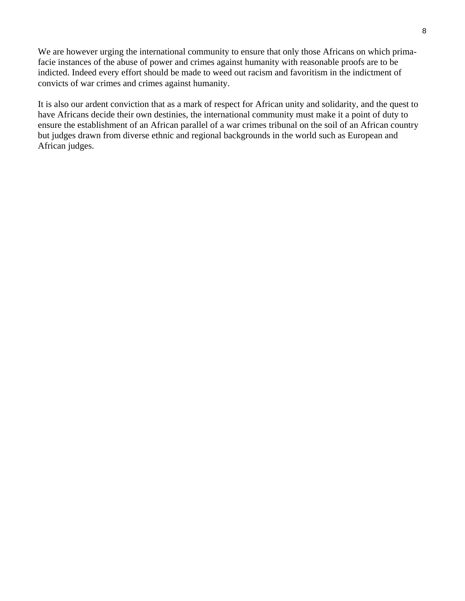We are however urging the international community to ensure that only those Africans on which primafacie instances of the abuse of power and crimes against humanity with reasonable proofs are to be indicted. Indeed every effort should be made to weed out racism and favoritism in the indictment of convicts of war crimes and crimes against humanity.

It is also our ardent conviction that as a mark of respect for African unity and solidarity, and the quest to have Africans decide their own destinies, the international community must make it a point of duty to ensure the establishment of an African parallel of a war crimes tribunal on the soil of an African country but judges drawn from diverse ethnic and regional backgrounds in the world such as European and African judges.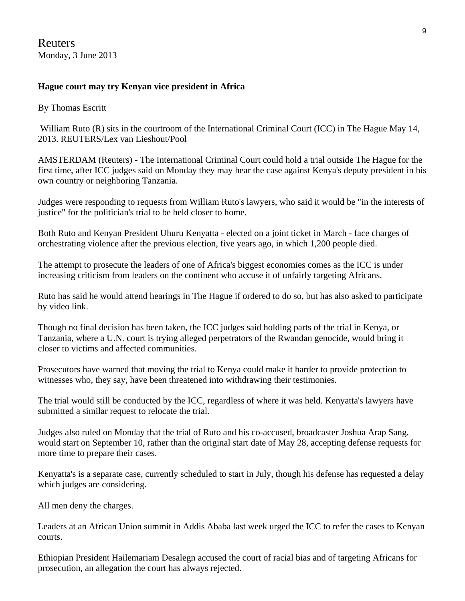Reuters Monday, 3 June 2013

#### **Hague court may try Kenyan vice president in Africa**

By Thomas Escritt

William Ruto (R) sits in the courtroom of the International Criminal Court (ICC) in The Hague May 14, 2013. REUTERS/Lex van Lieshout/Pool

AMSTERDAM (Reuters) - The International Criminal Court could hold a trial outside The Hague for the first time, after ICC judges said on Monday they may hear the case against Kenya's deputy president in his own country or neighboring Tanzania.

Judges were responding to requests from William Ruto's lawyers, who said it would be "in the interests of justice" for the politician's trial to be held closer to home.

Both Ruto and Kenyan President Uhuru Kenyatta - elected on a joint ticket in March - face charges of orchestrating violence after the previous election, five years ago, in which 1,200 people died.

The attempt to prosecute the leaders of one of Africa's biggest economies comes as the ICC is under increasing criticism from leaders on the continent who accuse it of unfairly targeting Africans.

Ruto has said he would attend hearings in The Hague if ordered to do so, but has also asked to participate by video link.

Though no final decision has been taken, the ICC judges said holding parts of the trial in Kenya, or Tanzania, where a U.N. court is trying alleged perpetrators of the Rwandan genocide, would bring it closer to victims and affected communities.

Prosecutors have warned that moving the trial to Kenya could make it harder to provide protection to witnesses who, they say, have been threatened into withdrawing their testimonies.

The trial would still be conducted by the ICC, regardless of where it was held. Kenyatta's lawyers have submitted a similar request to relocate the trial.

Judges also ruled on Monday that the trial of Ruto and his co-accused, broadcaster Joshua Arap Sang, would start on September 10, rather than the original start date of May 28, accepting defense requests for more time to prepare their cases.

Kenyatta's is a separate case, currently scheduled to start in July, though his defense has requested a delay which judges are considering.

All men deny the charges.

Leaders at an African Union summit in Addis Ababa last week urged the ICC to refer the cases to Kenyan courts.

Ethiopian President Hailemariam Desalegn accused the court of racial bias and of targeting Africans for prosecution, an allegation the court has always rejected.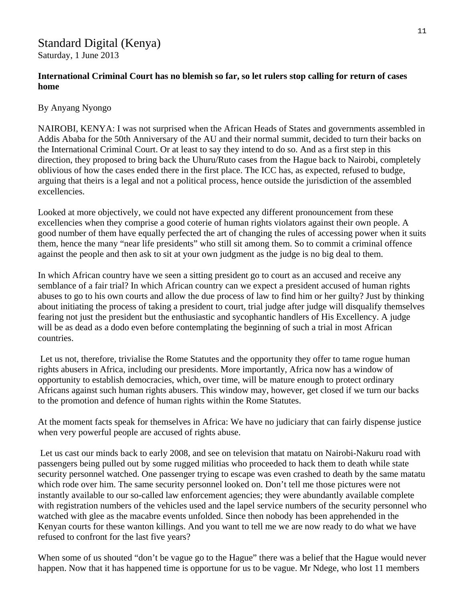#### Standard Digital (Kenya) Saturday, 1 June 2013

#### **International Criminal Court has no blemish so far, so let rulers stop calling for return of cases home**

#### By Anyang Nyongo

NAIROBI, KENYA: I was not surprised when the African Heads of States and governments assembled in Addis Ababa for the 50th Anniversary of the AU and their normal summit, decided to turn their backs on the International Criminal Court. Or at least to say they intend to do so. And as a first step in this direction, they proposed to bring back the Uhuru/Ruto cases from the Hague back to Nairobi, completely oblivious of how the cases ended there in the first place. The ICC has, as expected, refused to budge, arguing that theirs is a legal and not a political process, hence outside the jurisdiction of the assembled excellencies.

Looked at more objectively, we could not have expected any different pronouncement from these excellencies when they comprise a good coterie of human rights violators against their own people. A good number of them have equally perfected the art of changing the rules of accessing power when it suits them, hence the many "near life presidents" who still sit among them. So to commit a criminal offence against the people and then ask to sit at your own judgment as the judge is no big deal to them.

In which African country have we seen a sitting president go to court as an accused and receive any semblance of a fair trial? In which African country can we expect a president accused of human rights abuses to go to his own courts and allow the due process of law to find him or her guilty? Just by thinking about initiating the process of taking a president to court, trial judge after judge will disqualify themselves fearing not just the president but the enthusiastic and sycophantic handlers of His Excellency. A judge will be as dead as a dodo even before contemplating the beginning of such a trial in most African countries.

Let us not, therefore, trivialise the Rome Statutes and the opportunity they offer to tame rogue human rights abusers in Africa, including our presidents. More importantly, Africa now has a window of opportunity to establish democracies, which, over time, will be mature enough to protect ordinary Africans against such human rights abusers. This window may, however, get closed if we turn our backs to the promotion and defence of human rights within the Rome Statutes.

At the moment facts speak for themselves in Africa: We have no judiciary that can fairly dispense justice when very powerful people are accused of rights abuse.

 Let us cast our minds back to early 2008, and see on television that matatu on Nairobi-Nakuru road with passengers being pulled out by some rugged militias who proceeded to hack them to death while state security personnel watched. One passenger trying to escape was even crashed to death by the same matatu which rode over him. The same security personnel looked on. Don't tell me those pictures were not instantly available to our so-called law enforcement agencies; they were abundantly available complete with registration numbers of the vehicles used and the lapel service numbers of the security personnel who watched with glee as the macabre events unfolded. Since then nobody has been apprehended in the Kenyan courts for these wanton killings. And you want to tell me we are now ready to do what we have refused to confront for the last five years?

When some of us shouted "don't be vague go to the Hague" there was a belief that the Hague would never happen. Now that it has happened time is opportune for us to be vague. Mr Ndege, who lost 11 members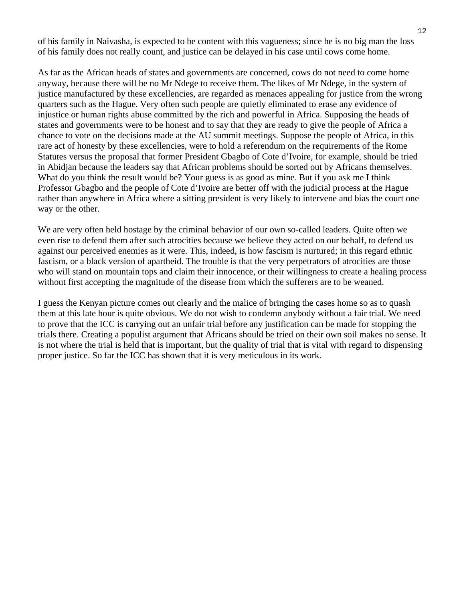of his family in Naivasha, is expected to be content with this vagueness; since he is no big man the loss of his family does not really count, and justice can be delayed in his case until cows come home.

As far as the African heads of states and governments are concerned, cows do not need to come home anyway, because there will be no Mr Ndege to receive them. The likes of Mr Ndege, in the system of justice manufactured by these excellencies, are regarded as menaces appealing for justice from the wrong quarters such as the Hague. Very often such people are quietly eliminated to erase any evidence of injustice or human rights abuse committed by the rich and powerful in Africa. Supposing the heads of states and governments were to be honest and to say that they are ready to give the people of Africa a chance to vote on the decisions made at the AU summit meetings. Suppose the people of Africa, in this rare act of honesty by these excellencies, were to hold a referendum on the requirements of the Rome Statutes versus the proposal that former President Gbagbo of Cote d'Ivoire, for example, should be tried in Abidjan because the leaders say that African problems should be sorted out by Africans themselves. What do you think the result would be? Your guess is as good as mine. But if you ask me I think Professor Gbagbo and the people of Cote d'Ivoire are better off with the judicial process at the Hague rather than anywhere in Africa where a sitting president is very likely to intervene and bias the court one way or the other.

We are very often held hostage by the criminal behavior of our own so-called leaders. Quite often we even rise to defend them after such atrocities because we believe they acted on our behalf, to defend us against our perceived enemies as it were. This, indeed, is how fascism is nurtured; in this regard ethnic fascism, or a black version of apartheid. The trouble is that the very perpetrators of atrocities are those who will stand on mountain tops and claim their innocence, or their willingness to create a healing process without first accepting the magnitude of the disease from which the sufferers are to be weaned.

I guess the Kenyan picture comes out clearly and the malice of bringing the cases home so as to quash them at this late hour is quite obvious. We do not wish to condemn anybody without a fair trial. We need to prove that the ICC is carrying out an unfair trial before any justification can be made for stopping the trials there. Creating a populist argument that Africans should be tried on their own soil makes no sense. It is not where the trial is held that is important, but the quality of trial that is vital with regard to dispensing proper justice. So far the ICC has shown that it is very meticulous in its work.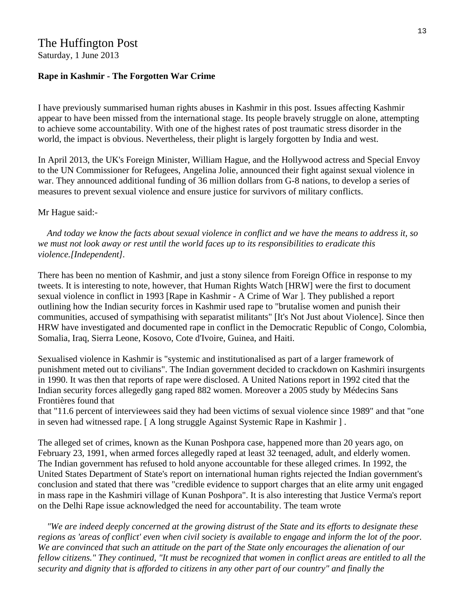### The Huffington Post

Saturday, 1 June 2013

#### **Rape in Kashmir - The Forgotten War Crime**

I have previously summarised human rights abuses in Kashmir in this post. Issues affecting Kashmir appear to have been missed from the international stage. Its people bravely struggle on alone, attempting to achieve some accountability. With one of the highest rates of post traumatic stress disorder in the world, the impact is obvious. Nevertheless, their plight is largely forgotten by India and west.

In April 2013, the UK's Foreign Minister, William Hague, and the Hollywood actress and Special Envoy to the UN Commissioner for Refugees, Angelina Jolie, announced their fight against sexual violence in war. They announced additional funding of 36 million dollars from G-8 nations, to develop a series of measures to prevent sexual violence and ensure justice for survivors of military conflicts.

#### Mr Hague said:-

 *And today we know the facts about sexual violence in conflict and we have the means to address it, so we must not look away or rest until the world faces up to its responsibilities to eradicate this violence.[Independent].* 

There has been no mention of Kashmir, and just a stony silence from Foreign Office in response to my tweets. It is interesting to note, however, that Human Rights Watch [HRW] were the first to document sexual violence in conflict in 1993 [Rape in Kashmir - A Crime of War ]. They published a report outlining how the Indian security forces in Kashmir used rape to "brutalise women and punish their communities, accused of sympathising with separatist militants" [It's Not Just about Violence]. Since then HRW have investigated and documented rape in conflict in the Democratic Republic of Congo, Colombia, Somalia, Iraq, Sierra Leone, Kosovo, Cote d'Ivoire, Guinea, and Haiti.

Sexualised violence in Kashmir is "systemic and institutionalised as part of a larger framework of punishment meted out to civilians". The Indian government decided to crackdown on Kashmiri insurgents in 1990. It was then that reports of rape were disclosed. A United Nations report in 1992 cited that the Indian security forces allegedly gang raped 882 women. Moreover a 2005 study by Médecins Sans Frontières found that

that "11.6 percent of interviewees said they had been victims of sexual violence since 1989" and that "one in seven had witnessed rape. [ A long struggle Against Systemic Rape in Kashmir ] .

The alleged set of crimes, known as the Kunan Poshpora case, happened more than 20 years ago, on February 23, 1991, when armed forces allegedly raped at least 32 teenaged, adult, and elderly women. The Indian government has refused to hold anyone accountable for these alleged crimes. In 1992, the United States Department of State's report on international human rights rejected the Indian government's conclusion and stated that there was "credible evidence to support charges that an elite army unit engaged in mass rape in the Kashmiri village of Kunan Poshpora". It is also interesting that Justice Verma's report on the Delhi Rape issue acknowledged the need for accountability. The team wrote

 *"We are indeed deeply concerned at the growing distrust of the State and its efforts to designate these regions as 'areas of conflict' even when civil society is available to engage and inform the lot of the poor. We are convinced that such an attitude on the part of the State only encourages the alienation of our fellow citizens." They continued, "It must be recognized that women in conflict areas are entitled to all the security and dignity that is afforded to citizens in any other part of our country" and finally the*